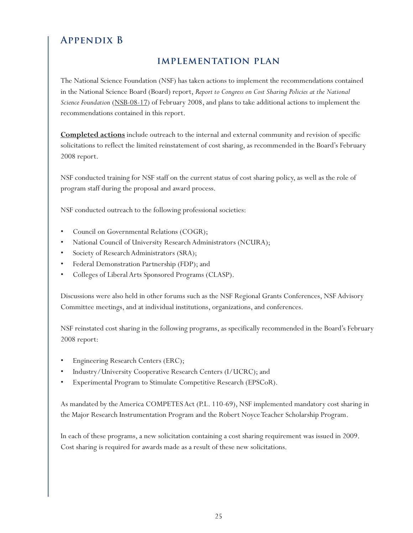## **Appendix B**

## **implementation plan**

The National Science Foundation (NSF) has taken actions to implement the recommendations contained in the National Science Board (Board) report, *Report to Congress on Cost Sharing Policies at the National Science Foundation* (NSB-08-17) of February 2008, and plans to take additional actions to implement the recommendations contained in this report.

**Completed actions** include outreach to the internal and external community and revision of specific solicitations to reflect the limited reinstatement of cost sharing, as recommended in the Board's February 2008 report.

NSF conducted training for NSF staff on the current status of cost sharing policy, as well as the role of program staff during the proposal and award process.

NSF conducted outreach to the following professional societies:

- Council on Governmental Relations (COGR);
- National Council of University Research Administrators (NCURA);
- Society of Research Administrators (SRA);
- Federal Demonstration Partnership (FDP); and
- Colleges of Liberal Arts Sponsored Programs (CLASP).

Discussions were also held in other forums such as the NSF Regional Grants Conferences, NSF Advisory Committee meetings, and at individual institutions, organizations, and conferences.

NSF reinstated cost sharing in the following programs, as specifically recommended in the Board's February 2008 report:

- Engineering Research Centers (ERC);
- Industry/University Cooperative Research Centers (I/UCRC); and
- Experimental Program to Stimulate Competitive Research (EPSCoR).

As mandated by the America COMPETES Act (P.L. 110-69), NSF implemented mandatory cost sharing in the Major Research Instrumentation Program and the Robert Noyce Teacher Scholarship Program.

In each of these programs, a new solicitation containing a cost sharing requirement was issued in 2009. Cost sharing is required for awards made as a result of these new solicitations.